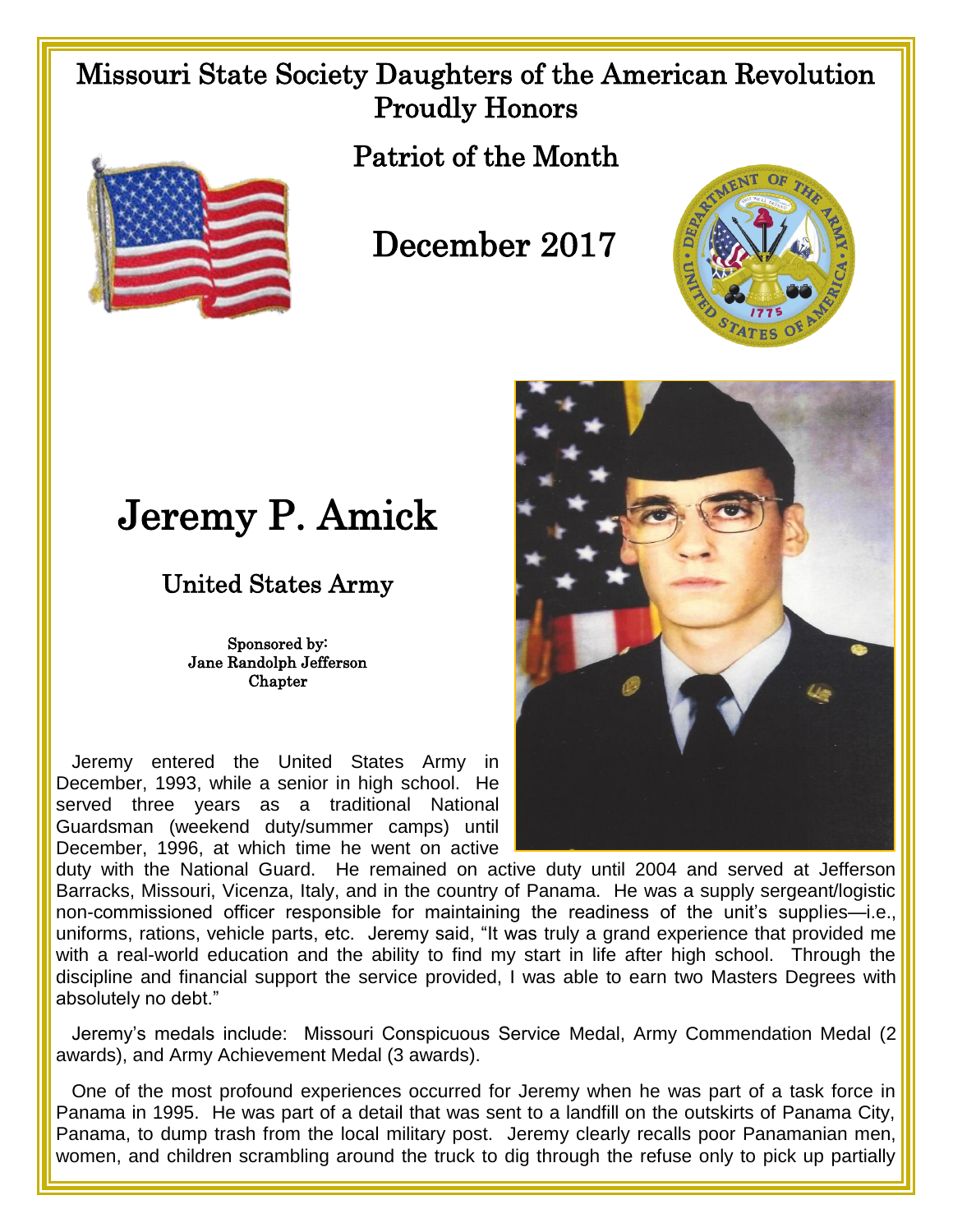## Missouri State Society Daughters of the American Revolution Proudly Honors



Patriot of the Month

## December 2017



## Jeremy P. Amick

## United States Army

Sponsored by: Jane Randolph Jefferson **Chapter** 

 Jeremy entered the United States Army in December, 1993, while a senior in high school. He served three years as a traditional National Guardsman (weekend duty/summer camps) until December, 1996, at which time he went on active



duty with the National Guard. He remained on active duty until 2004 and served at Jefferson Barracks, Missouri, Vicenza, Italy, and in the country of Panama. He was a supply sergeant/logistic non-commissioned officer responsible for maintaining the readiness of the unit's supplies—i.e., uniforms, rations, vehicle parts, etc. Jeremy said, "It was truly a grand experience that provided me with a real-world education and the ability to find my start in life after high school. Through the discipline and financial support the service provided, I was able to earn two Masters Degrees with absolutely no debt."

Jeremy's medals include: Missouri Conspicuous Service Medal, Army Commendation Medal (2 awards), and Army Achievement Medal (3 awards).

 One of the most profound experiences occurred for Jeremy when he was part of a task force in Panama in 1995. He was part of a detail that was sent to a landfill on the outskirts of Panama City, Panama, to dump trash from the local military post. Jeremy clearly recalls poor Panamanian men, women, and children scrambling around the truck to dig through the refuse only to pick up partially